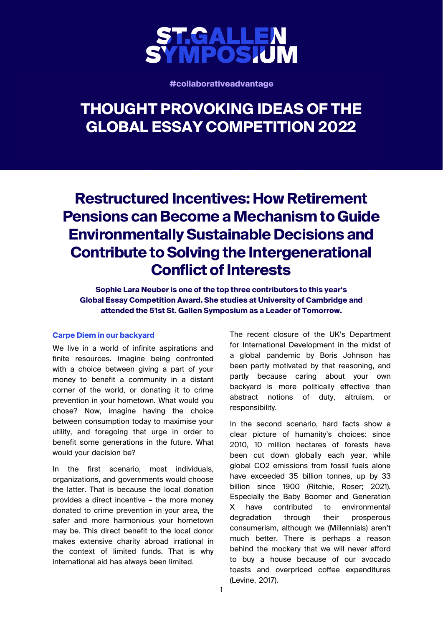

**#collaborativeadvantage**

# **THOUGHT PROVOKING IDEAS OF THE GLOBAL ESSAY COMPETITION 2022**

# **Restructured Incentives: How Retirement Pensions can Become a Mechanism to Guide Environmentally Sustainable Decisions and Contribute to Solving the Intergenerational Conflict of Interests**

**Sophie Lara Neuber is one of the top three contributors to this year's Global Essay Competition Award. She studies at University of Cambridge and attended the 51st St. Gallen Symposium as a Leader of Tomorrow.** 

## **Carpe Diem in our backyard**

We live in a world of infinite aspirations and finite resources. Imagine being confronted with a choice between giving a part of your money to benefit a community in a distant corner of the world, or donating it to crime prevention in your hometown. What would you chose? Now, imagine having the choice between consumption today to maximise your utility, and foregoing that urge in order to benefit some generations in the future. What would your decision be?

In the first scenario, most individuals, organizations, and governments would choose the latter. That is because the local donation provides a direct incentive – the more money donated to crime prevention in your area, the safer and more harmonious your hometown may be. This direct benefit to the local donor makes extensive charity abroad irrational in the context of limited funds. That is why international aid has always been limited.

The recent closure of the UK's Department for International Development in the midst of a global pandemic by Boris Johnson has been partly motivated by that reasoning, and partly because caring about your own backyard is more politically effective than abstract notions of duty, altruism, or responsibility.

In the second scenario, hard facts show a clear picture of humanity's choices: since 2010, 10 million hectares of forests have been cut down globally each year, while global CO2 emissions from fossil fuels alone have exceeded 35 billion tonnes, up by 33 billion since 1900 (Ritchie, Roser; 2021). Especially the Baby Boomer and Generation X have contributed to environmental degradation through their prosperous consumerism, although we (Millennials) aren't much better. There is perhaps a reason behind the mockery that we will never afford to buy a house because of our avocado toasts and overpriced coffee expenditures (Levine, 2017).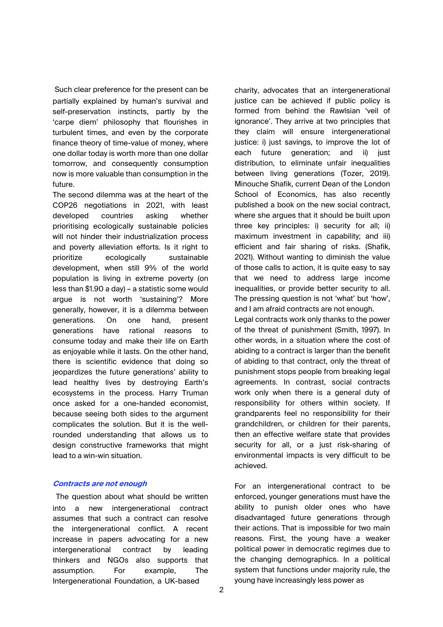Such clear preference for the present can be partially explained by human's survival and self-preservation instincts, partly by the 'carpe diem' philosophy that flourishes in turbulent times, and even by the corporate finance theory of time-value of money, where one dollar today is worth more than one dollar tomorrow, and consequently consumption now is more valuable than consumption in the future.

The second dilemma was at the heart of the COP26 negotiations in 2021, with least developed countries asking whether prioritising ecologically sustainable policies will not hinder their industrialization process and poverty alleviation efforts. Is it right to prioritize ecologically sustainable development, when still 9% of the world population is living in extreme poverty (on less than \$1.90 a day) – a statistic some would argue is not worth 'sustaining'? More generally, however, it is a dilemma between generations. On one hand, present generations have rational reasons to consume today and make their life on Earth as enjoyable while it lasts. On the other hand, there is scientific evidence that doing so jeopardizes the future generations' ability to lead healthy lives by destroying Earth's ecosystems in the process. Harry Truman once asked for a one-handed economist, because seeing both sides to the argument complicates the solution. But it is the wellrounded understanding that allows us to design constructive frameworks that might lead to a win-win situation.

### **Contracts are not enough**

The question about what should be written into a new intergenerational contract assumes that such a contract can resolve the intergenerational conflict. A recent increase in papers advocating for a new intergenerational contract by leading thinkers and NGOs also supports that assumption. For example, The Intergenerational Foundation, a UK-based

charity, advocates that an intergenerational justice can be achieved if public policy is formed from behind the Rawlsian 'veil of ignorance'. They arrive at two principles that they claim will ensure intergenerational justice: i) just savings, to improve the lot of each future generation; and ii) just distribution, to eliminate unfair inequalities between living generations (Tozer, 2019). Minouche Shafik, current Dean of the London School of Economics, has also recently published a book on the new social contract, where she argues that it should be built upon three key principles: i) security for all; ii) maximum investment in capability; and iii) efficient and fair sharing of risks. (Shafik, 2021). Without wanting to diminish the value of those calls to action, it is quite easy to say that we need to address large income inequalities, or provide better security to all. The pressing question is not 'what' but 'how', and I am afraid contracts are not enough.

Legal contracts work only thanks to the power of the threat of punishment (Smith, 1997). In other words, in a situation where the cost of abiding to a contract is larger than the benefit of abiding to that contract, only the threat of punishment stops people from breaking legal agreements. In contrast, social contracts work only when there is a general duty of responsibility for others within society. If grandparents feel no responsibility for their grandchildren, or children for their parents, then an effective welfare state that provides security for all, or a just risk-sharing of environmental impacts is very difficult to be achieved.

For an intergenerational contract to be enforced, younger generations must have the ability to punish older ones who have disadvantaged future generations through their actions. That is impossible for two main reasons. First, the young have a weaker political power in democratic regimes due to the changing demographics. In a political system that functions under majority rule, the young have increasingly less power as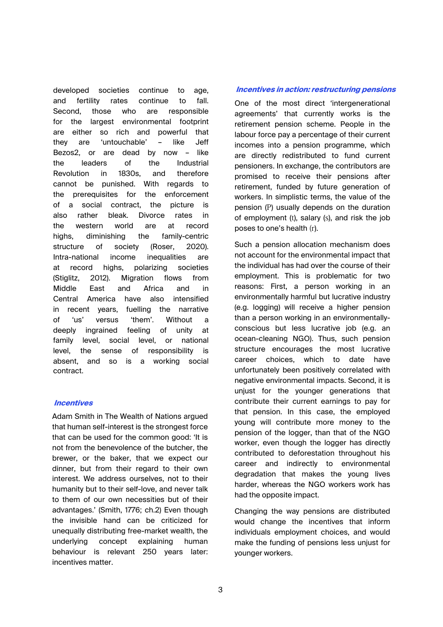developed societies continue to age, and fertility rates continue to fall. Second, those who are responsible for the largest environmental footprint are either so rich and powerful that they are 'untouchable' – like Jeff Bezos2, or are dead by now – like the leaders of the Industrial Revolution in 1830s, and therefore cannot be punished. With regards to the prerequisites for the enforcement of a social contract, the picture is also rather bleak. Divorce rates in the western world are at record highs, diminishing the family-centric structure of society (Roser, 2020). Intra-national income inequalities are at record highs, polarizing societies (Stiglitz, 2012). Migration flows from Middle East and Africa and in Central America have also intensified in recent years, fuelling the narrative of 'us' versus 'them'. Without a deeply ingrained feeling of unity at family level, social level, or national level, the sense of responsibility is absent, and so is a working social contract.

## **Incentives**

Adam Smith in The Wealth of Nations argued that human self-interest is the strongest force that can be used for the common good: 'It is not from the benevolence of the butcher, the brewer, or the baker, that we expect our dinner, but from their regard to their own interest. We address ourselves, not to their humanity but to their self-love, and never talk to them of our own necessities but of their advantages.' (Smith, 1776; ch.2) Even though the invisible hand can be criticized for unequally distributing free-market wealth, the underlying concept explaining human behaviour is relevant 250 years later: incentives matter.

### **Incentives in action: restructuring pensions**

One of the most direct 'intergenerational agreements' that currently works is the retirement pension scheme. People in the labour force pay a percentage of their current incomes into a pension programme, which are directly redistributed to fund current pensioners. In exchange, the contributors are promised to receive their pensions after retirement, funded by future generation of workers. In simplistic terms, the value of the pension (P) usually depends on the duration of employment (t), salary (s), and risk the job poses to one's health (r).

Such a pension allocation mechanism does not account for the environmental impact that the individual has had over the course of their employment. This is problematic for two reasons: First, a person working in an environmentally harmful but lucrative industry (e.g. logging) will receive a higher pension than a person working in an environmentallyconscious but less lucrative job (e.g. an ocean-cleaning NGO). Thus, such pension structure encourages the most lucrative career choices, which to date have unfortunately been positively correlated with negative environmental impacts. Second, it is unjust for the younger generations that contribute their current earnings to pay for that pension. In this case, the employed young will contribute more money to the pension of the logger, than that of the NGO worker, even though the logger has directly contributed to deforestation throughout his career and indirectly to environmental degradation that makes the young lives harder, whereas the NGO workers work has had the opposite impact.

Changing the way pensions are distributed would change the incentives that inform individuals employment choices, and would make the funding of pensions less unjust for younger workers.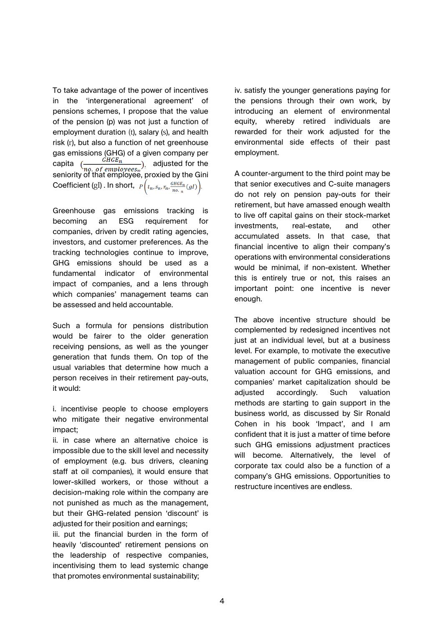To take advantage of the power of incentives in the 'intergenerational agreement' of pensions schemes, I propose that the value of the pension (p) was not just a function of employment duration (t), salary (s), and health risk (r), but also a function of net greenhouse gas emissions (GHG) of a given company per capita  $\left(\frac{1}{\log_{10}(\text{Symelases})}\right)$ , adjusted for the seniority of that employee, proxied by the Gini Coefficient (gI). In short,  $P\left(t_n, s_n, r_n \frac{GHGE_n}{no_n} (gl)\right)$ .

Greenhouse gas emissions tracking is becoming an ESG requirement for companies, driven by credit rating agencies, investors, and customer preferences. As the tracking technologies continue to improve, GHG emissions should be used as a fundamental indicator of environmental impact of companies, and a lens through which companies' management teams can be assessed and held accountable.

Such a formula for pensions distribution would be fairer to the older generation receiving pensions, as well as the younger generation that funds them. On top of the usual variables that determine how much a person receives in their retirement pay-outs, it would:

i. incentivise people to choose employers who mitigate their negative environmental impact;

ii. in case where an alternative choice is impossible due to the skill level and necessity of employment (e.g. bus drivers, cleaning staff at oil companies), it would ensure that lower-skilled workers, or those without a decision-making role within the company are not punished as much as the management, but their GHG-related pension 'discount' is adjusted for their position and earnings;

iii. put the financial burden in the form of heavily 'discounted' retirement pensions on the leadership of respective companies, incentivising them to lead systemic change that promotes environmental sustainability;

iv. satisfy the younger generations paying for the pensions through their own work, by introducing an element of environmental equity, whereby retired individuals are rewarded for their work adjusted for the environmental side effects of their past employment.

A counter-argument to the third point may be that senior executives and C-suite managers do not rely on pension pay-outs for their retirement, but have amassed enough wealth to live off capital gains on their stock-market investments, real-estate, and other accumulated assets. In that case, that financial incentive to align their company's operations with environmental considerations would be minimal, if non-existent. Whether this is entirely true or not, this raises an important point: one incentive is never enough.

The above incentive structure should be complemented by redesigned incentives not just at an individual level, but at a business level. For example, to motivate the executive management of public companies, financial valuation account for GHG emissions, and companies' market capitalization should be adjusted accordingly. Such valuation methods are starting to gain support in the business world, as discussed by Sir Ronald Cohen in his book 'Impact', and I am confident that it is just a matter of time before such GHG emissions adiustment practices will become. Alternatively, the level of corporate tax could also be a function of a company's GHG emissions. Opportunities to restructure incentives are endless.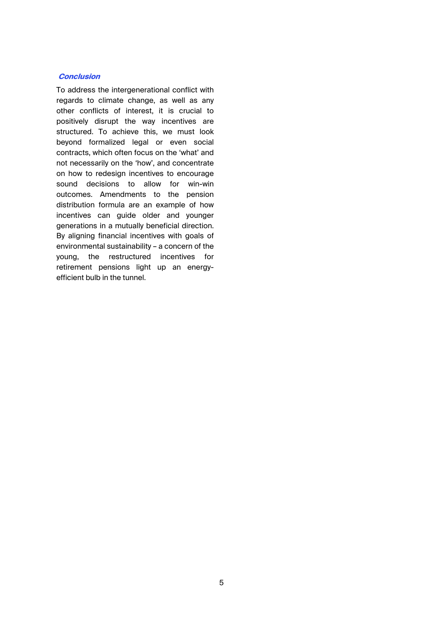### **Conclusion**

To address the intergenerational conflict with regards to climate change, as well as any other [conflicts of interest, it is crucial to](http://www.bbc.com/news/world-africa-40171095)  positively disrupt the way incentives are structured. To achieve this, we must look beyond formalized legal or even social contracts, which often focus on the 'what' and not necessarily on the 'how', and concentrate on how to redesign incentives to encourage sound decisions to allow for win-win outcomes. Amendments to the pension distribution formula are an example of how incentives can guide older and younger generations in a mutually beneficial direction. By aligning financial incentives with goals of environmental sustainability – a concern of the young, the restructured incentives for retirement pensions light up an energyefficient bulb in the tunnel.